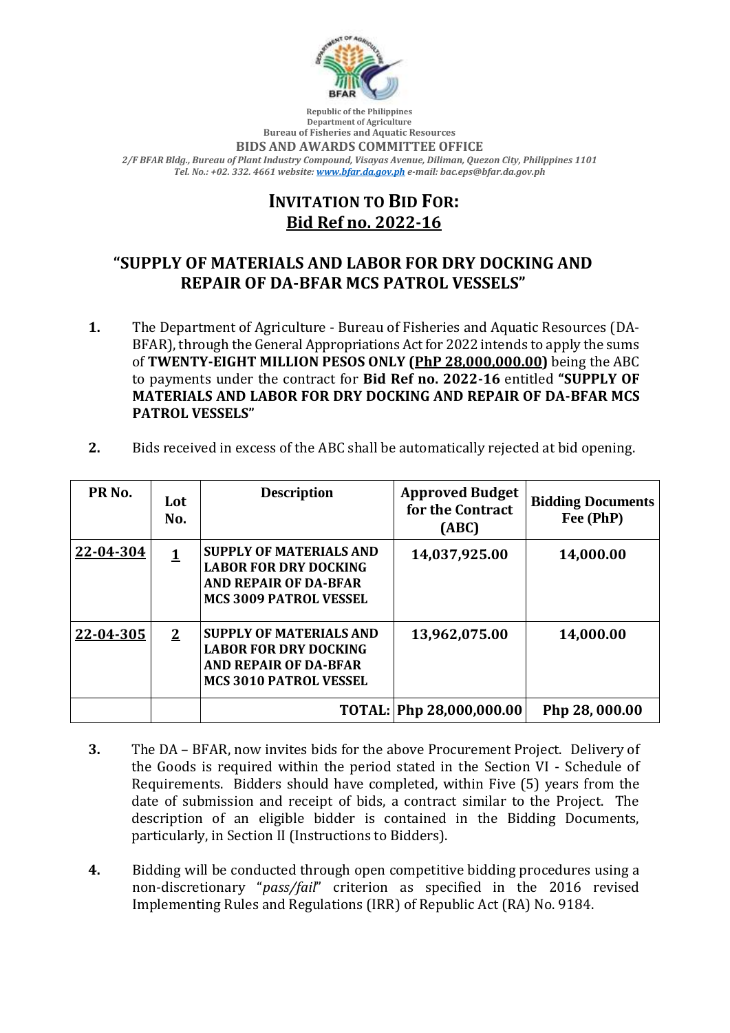

**Republic of the Philippines Department of Agriculture Bureau of Fisheries and Aquatic Resources**

## **BIDS AND AWARDS COMMITTEE OFFICE**

*2/F BFAR Bldg., Bureau of Plant Industry Compound, Visayas Avenue, Diliman, Quezon City, Philippines 1101 Tel. No.: +02. 332. 4661 website[: www.bfar.da.gov.ph](http://www.bfar.da.gov.ph/) e-mail: bac.eps@bfar.da.gov.ph*

## **INVITATION TO BID FOR: Bid Ref no. 2022-16**

## **"SUPPLY OF MATERIALS AND LABOR FOR DRY DOCKING AND REPAIR OF DA-BFAR MCS PATROL VESSELS"**

- **1.** The Department of Agriculture Bureau of Fisheries and Aquatic Resources (DA-BFAR), through the General Appropriations Act for 2022 intends to apply the sums of **TWENTY-EIGHT MILLION PESOS ONLY (PhP 28,000,000.00)** being the ABC to payments under the contract for **Bid Ref no. 2022-16** entitled **"SUPPLY OF MATERIALS AND LABOR FOR DRY DOCKING AND REPAIR OF DA-BFAR MCS PATROL VESSELS"**
- **2.** Bids received in excess of the ABC shall be automatically rejected at bid opening.

| PR <sub>No.</sub> | Lot<br>No.   | <b>Description</b>                                                                                                              | <b>Approved Budget</b><br>for the Contract<br>(ABC) | <b>Bidding Documents</b><br>Fee (PhP) |
|-------------------|--------------|---------------------------------------------------------------------------------------------------------------------------------|-----------------------------------------------------|---------------------------------------|
| 22-04-304         | <u>1</u>     | SUPPLY OF MATERIALS AND<br><b>LABOR FOR DRY DOCKING</b><br><b>AND REPAIR OF DA-BFAR</b><br><b>MCS 3009 PATROL VESSEL</b>        | 14,037,925.00                                       | 14,000.00                             |
| 22-04-305         | $\mathbf{2}$ | <b>SUPPLY OF MATERIALS AND</b><br><b>LABOR FOR DRY DOCKING</b><br><b>AND REPAIR OF DA-BFAR</b><br><b>MCS 3010 PATROL VESSEL</b> | 13,962,075.00                                       | 14,000.00                             |
|                   |              |                                                                                                                                 | TOTAL: Php 28,000,000.00                            | Php 28, 000.00                        |

- **3.** The DA BFAR, now invites bids for the above Procurement Project. Delivery of the Goods is required within the period stated in the Section VI - Schedule of Requirements. Bidders should have completed, within Five (5) years from the date of submission and receipt of bids, a contract similar to the Project. The description of an eligible bidder is contained in the Bidding Documents, particularly, in Section II (Instructions to Bidders).
- **4.** Bidding will be conducted through open competitive bidding procedures using a non-discretionary "*pass/fail*" criterion as specified in the 2016 revised Implementing Rules and Regulations (IRR) of Republic Act (RA) No. 9184.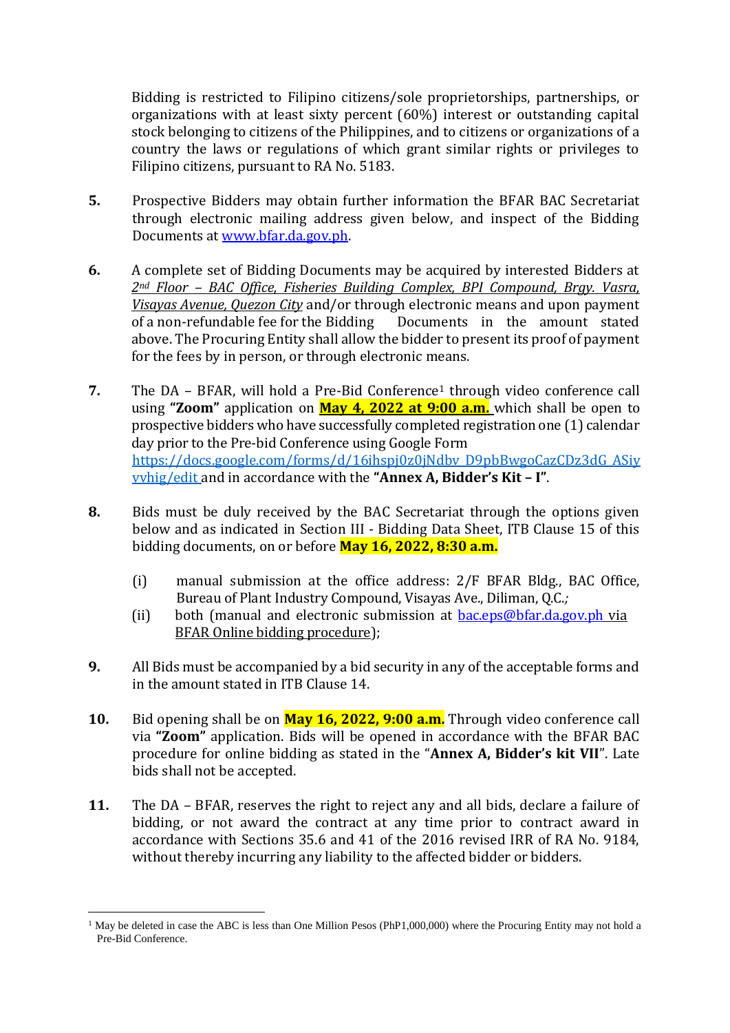Bidding is restricted to Filipino citizens/sole proprietorships, partnerships, or organizations with at least sixty percent (60%) interest or outstanding capital stock belonging to citizens of the Philippines, and to citizens or organizations of a country the laws or regulations of which grant similar rights or privileges to Filipino citizens, pursuant to RA No. 5183.

- **5.** Prospective Bidders may obtain further information the BFAR BAC Secretariat through electronic mailing address given below, and inspect of the Bidding Documents at [www.bfar.da.gov.ph.](http://www.bfar.da.gov.ph/)
- **6.** A complete set of Bidding Documents may be acquired by interested Bidders at *2nd Floor – BAC Office, Fisheries Building Complex, BPI Compound, Brgy. Vasra, Visayas Avenue, Quezon City* and/or through electronic means and upon payment of a non-refundable fee for the Bidding Documents in the amount stated above. The Procuring Entity shall allow the bidder to present its proof of payment for the fees by in person, or through electronic means.
- **7.** The DA BFAR, will hold a Pre-Bid Conference<sup>1</sup> through video conference call using **"Zoom"** application on **May 4, 2022 at 9:00 a.m.** which shall be open to prospective bidders who have successfully completed registration one (1) calendar day prior to the Pre-bid Conference using Google Form [https://docs.google.com/forms/d/16ihspj0z0jNdbv\\_D9pbBwgoCazCDz3dG\\_ASiy](https://docs.google.com/forms/d/16ihspj0z0jNdbv_D9pbBwgoCazCDz3dG_ASiyvvhig/edit) [vvhig/edit](https://docs.google.com/forms/d/16ihspj0z0jNdbv_D9pbBwgoCazCDz3dG_ASiyvvhig/edit) and in accordance with the **"Annex A, Bidder's Kit – I"**.
- **8.** Bids must be duly received by the BAC Secretariat through the options given below and as indicated in Section III - Bidding Data Sheet, ITB Clause 15 of this bidding documents, on or before **May 16, 2022, 8:30 a.m.**
	- (i) manual submission at the office address: 2/F BFAR Bldg., BAC Office, Bureau of Plant Industry Compound, Visayas Ave., Diliman, Q.C.*;*
	- (ii) both (manual and electronic submission at  $bac.eps@bfar.da.gov.ph$  via BFAR Online bidding procedure);
- **9.** All Bids must be accompanied by a bid security in any of the acceptable forms and in the amount stated in ITB Clause 14.
- **10.** Bid opening shall be on **May 16, 2022, 9:00 a.m.** Through video conference call via **"Zoom"** application. Bids will be opened in accordance with the BFAR BAC procedure for online bidding as stated in the "**Annex A, Bidder's kit VII**". Late bids shall not be accepted.
- **11.** The DA BFAR, reserves the right to reject any and all bids, declare a failure of bidding, or not award the contract at any time prior to contract award in accordance with Sections 35.6 and 41 of the 2016 revised IRR of RA No. 9184, without thereby incurring any liability to the affected bidder or bidders.

<sup>&</sup>lt;u>.</u> <sup>1</sup> May be deleted in case the ABC is less than One Million Pesos (PhP1,000,000) where the Procuring Entity may not hold a Pre-Bid Conference.